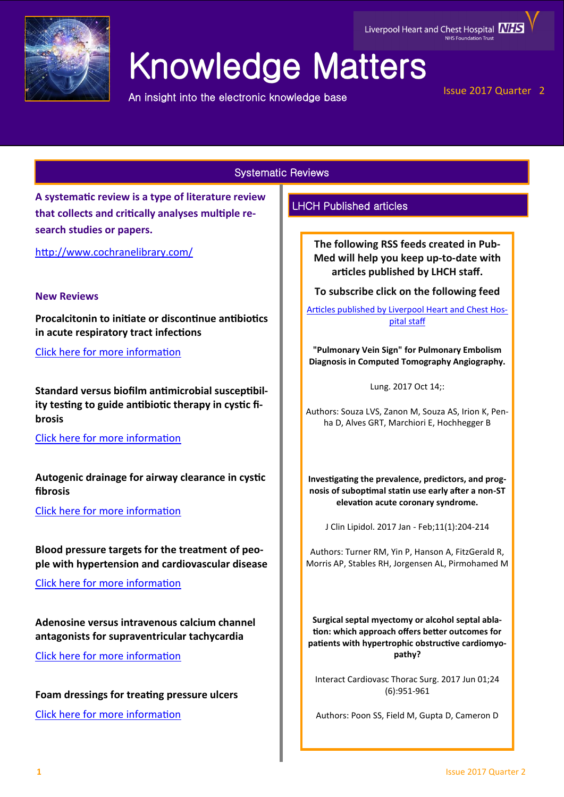

# Knowledge Matters

An insight into the electronic knowledge base

# Issue 2017 Quarter 2

Systematic Reviews

**A systematic review is a type of literature review that collects and critically analyses multiple research studies or papers.** 

<http://www.cochranelibrary.com/>

# **New Reviews**

**Procalcitonin to initiate or discontinue antibiotics in acute respiratory tract infections**

[Click here for more information](http://onlinelibrary.wiley.com/doi/10.1002/14651858.CD007498.pub3/abstract)

**Standard versus biofilm antimicrobial susceptibility testing to guide antibiotic therapy in cystic fibrosis**

[Click here for more information](http://onlinelibrary.wiley.com/doi/10.1002/14651858.CD009528.pub4/full)

**Autogenic drainage for airway clearance in cystic fibrosis**

[Click here for more information](http://onlinelibrary.wiley.com/doi/10.1002/14651858.CD009595.pub2/full)

**Blood pressure targets for the treatment of people with hypertension and cardiovascular disease**

[Click here for more information](http://onlinelibrary.wiley.com/doi/10.1002/14651858.CD010315.pub2/full)

**Adenosine versus intravenous calcium channel antagonists for supraventricular tachycardia**

[Click here for more information](http://onlinelibrary.wiley.com/doi/10.1002/14651858.CD005154.pub4/full)

**Foam dressings for treating pressure ulcers** [Click here for more information](http://onlinelibrary.wiley.com/doi/10.1002/14651858.CD011332.pub2/full)

# LHCH Published articles

**The following RSS feeds created in Pub-Med will help you keep up-to-date with articles published by LHCH staff.**

**To subscribe click on the following feed** 

[Articles published by Liverpool Heart and Chest Hos](http://eutils.ncbi.nlm.nih.gov/entrez/eutils/erss.cgi?rss_guid=1jmC0p0kwOiCcrGq4UdlH-eTmaOgJ316E2QW_6DKsMnynMiQ2d)[pital staff](http://eutils.ncbi.nlm.nih.gov/entrez/eutils/erss.cgi?rss_guid=1jmC0p0kwOiCcrGq4UdlH-eTmaOgJ316E2QW_6DKsMnynMiQ2d) 

**"Pulmonary Vein Sign" for Pulmonary Embolism Diagnosis in Computed Tomography Angiography.**

Lung. 2017 Oct 14;:

Authors: Souza LVS, Zanon M, Souza AS, Irion K, Penha D, Alves GRT, Marchiori E, Hochhegger B

**Investigating the prevalence, predictors, and prognosis of suboptimal statin use early after a non-ST elevation acute coronary syndrome.**

J Clin Lipidol. 2017 Jan - Feb;11(1):204-214

Authors: Turner RM, Yin P, Hanson A, FitzGerald R, Morris AP, Stables RH, Jorgensen AL, Pirmohamed M

**Surgical septal myectomy or alcohol septal ablation: which approach offers better outcomes for patients with hypertrophic obstructive cardiomyopathy?**

Interact Cardiovasc Thorac Surg. 2017 Jun 01;24 (6):951-961

Authors: Poon SS, Field M, Gupta D, Cameron D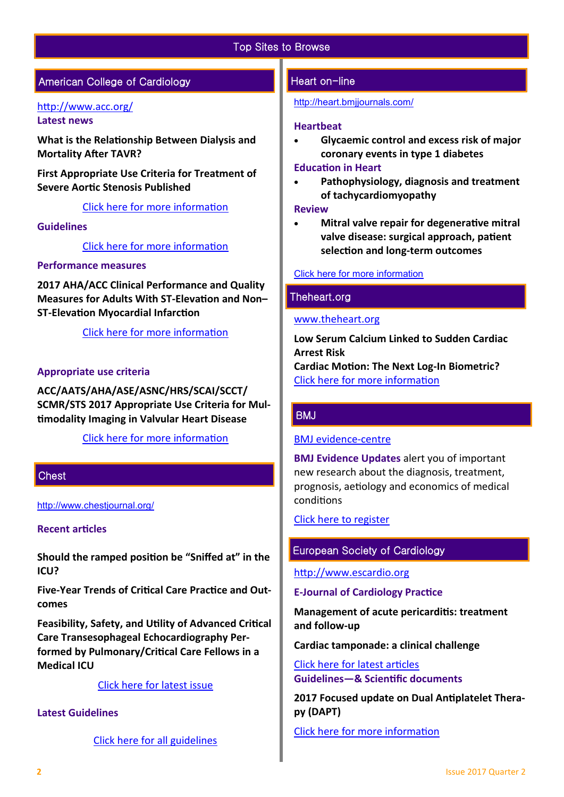# Top Sites to Browse

# American College of Cardiology

# <http://www.acc.org/> **Latest news**

**What is the Relationship Between Dialysis and Mortality After TAVR?**

**First Appropriate Use Criteria for Treatment of Severe Aortic Stenosis Published**

[Click here for more information](http://www.acc.org/#sort=%40fcommonsortdate86069%20descending) 

# **Guidelines**

[Click here for more information](http://www.acc.org/guidelines#sort=%40foriginalz32xpostedz32xdate86069%20descending&f:@fdocumentz32xtype86069_670363a472df42e3adff1c75ae78b00f=[Guidelines]http://www.acc.org/guidelines) 

# **Performance measures**

**2017 AHA/ACC Clinical Performance and Quality Measures for Adults With ST-Elevation and Non– ST-Elevation Myocardial Infarction**

[Click here for more information](http://www.acc.org/guidelines#sort=%40foriginalz32xpostedz32xdate86069%20descending&f:@fdocumentz32xtype86069_ba0527f33d1c4b28a7ae969c40022bc1=[Performance%20Measures]) 

## **Appropriate use criteria**

**ACC/AATS/AHA/ASE/ASNC/HRS/SCAI/SCCT/ SCMR/STS 2017 Appropriate Use Criteria for Multimodality Imaging in Valvular Heart Disease**

[Click here for more information](http://www.acc.org/guidelines#sort=%40foriginalz32xpostedz32xdate86069%20descending&f:@fdocumentz32xtype86069_ba0527f33d1c4b28a7ae969c40022bc1=[Appropriate%20Use%20Criteria]) 

## **Chest**

<http://www.chestjournal.org/>

#### **Recent articles**

**Should the ramped position be "Sniffed at" in the ICU?**

**Five-Year Trends of Critical Care Practice and Outcomes**

**Feasibility, Safety, and Utility of Advanced Critical Care Transesophageal Echocardiography Performed by Pulmonary/Critical Care Fellows in a Medical ICU**

[Click here for latest issue](http://journal.chestnet.org/current)

# **Latest Guidelines**

[Click here for all guidelines](http://journal.chestnet.org/guidelines)

# Heart on-line

<http://heart.bmjjournals.com/>

#### **Heartbeat**

 **Glycaemic control and excess risk of major coronary events in type 1 diabetes**

## **Education in Heart**

 **Pathophysiology, diagnosis and treatment of tachycardiomyopathy**

#### **Review**

 **Mitral valve repair for degenerative mitral valve disease: surgical approach, patient selection and long-term outcomes**

## [Click here for more information](http://heart.bmj.com/content/current)

## Theheart.org

#### [www.theheart.org](http://www.theheart.org/)

**Low Serum Calcium Linked to Sudden Cardiac Arrest Risk**

**Cardiac Motion: The Next Log-In Biometric?** [Click here for more information](http://www.medscape.com/cardiology?t=1)

## **BMJ**

## [BMJ evidence](http://plus.mcmaster.ca/EvidenceUpdates/Default.aspx)-centre

**BMJ Evidence Updates** alert you of important new research about the diagnosis, treatment, prognosis, aetiology and economics of medical conditions

# [Click here to register](http://plus.mcmaster.ca/EvidenceUpdates/Registration.aspx)

# European Society of Cardiology

[http://www.escardio.org](http://www.escardio.org/Pages/index.aspx)

#### **E-Journal of Cardiology Practice**

**Management of acute pericarditis: treatment and follow-up**

**Cardiac tamponade: a clinical challenge**

[Click here for latest articles](http://www.escardio.org/Journals/E-Journal-of-Cardiology-Practice) **Guidelines—& Scientific documents** 

**2017 Focused update on Dual Antiplatelet Therapy (DAPT)**

[Click here for more information](https://www.escardio.org/Guidelines)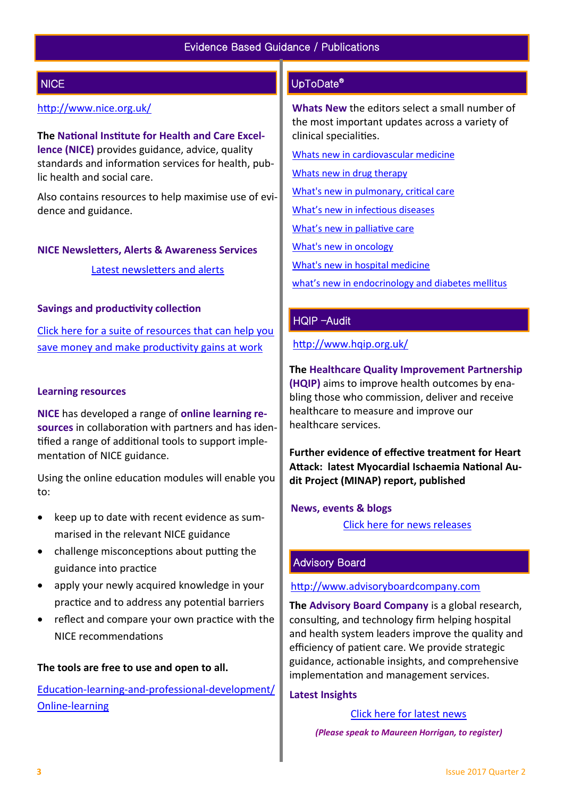# **NICE**

# <http://www.nice.org.uk/>

**The National Institute for Health and Care Excellence (NICE)** provides guidance, advice, quality standards and information services for health, public health and social care.

Also contains resources to help maximise use of evidence and guidance.

## **NICE Newsletters, Alerts & Awareness Services**

[Latest newsletters and alerts](http://www.nice.org.uk/news/nice-newsletters-and-alerts)

## **Savings and productivity collection**

[Click here for a suite of resources that can help you](https://www.nice.org.uk/about/What-we-do/Our-Programmes/Savings-And-Productivity-Collection)  [save money and make productivity gains at work](https://www.nice.org.uk/about/What-we-do/Our-Programmes/Savings-And-Productivity-Collection)

## **Learning resources**

**NICE** has developed a range of **online learning resources** in collaboration with partners and has identified a range of additional tools to support implementation of NICE guidance.

Using the online education modules will enable you to:

- keep up to date with recent evidence as summarised in the relevant NICE guidance
- challenge misconceptions about putting the guidance into practice
- apply your newly acquired knowledge in your practice and to address any potential barriers
- reflect and compare your own practice with the NICE recommendations

## **The tools are free to use and open to all.**

Education-learning-and-professional-[development/](https://www.nice.org.uk/About/What-we-do/Into-practice/Education-learning-and-professional-development/Online-learning) Online-[learning](https://www.nice.org.uk/About/What-we-do/Into-practice/Education-learning-and-professional-development/Online-learning)

# UpToDate®

**Whats New** the editors select a small number of the most important updates across a variety of clinical specialities.

[Whats new in cardiovascular medicine](http://www.uptodate.com/contents/whats-new-in-cardiovascular-medicine)

[Whats new in drug therapy](http://www.uptodate.com/contents/whats-new-in-drug-therapy)

[What's new in pulmonary, critical care](http://www.uptodate.com/contents/whats-new-in-pulmonary-critical-care-and-sleep-medicine)

[What's new in infectious diseases](http://www.uptodate.com/contents/whats-new-in-infectious-diseases)

[What's new in palliative care](http://www.uptodate.com/contents/whats-new-in-palliative-care)

[What's new in oncology](http://www.uptodate.com/contents/whats-new-in-oncology)

[What's new in hospital medicine](http://www.uptodate.com/contents/whats-new-in-hospital-medicine)

[what's new in endocrinology and diabetes mellitus](http://www.uptodate.com/contents/whats-new-in-endocrinology-and-diabetes-mellitus)

# HQIP –Audit

<http://www.hqip.org.uk/>

**The Healthcare Quality Improvement Partnership (HQIP)** aims to improve health outcomes by enabling those who commission, deliver and receive healthcare to measure and improve our healthcare services.

**Further evidence of effective treatment for Heart Attack: latest Myocardial Ischaemia National Audit Project (MINAP) report, published**

## **News, events & blogs**

[Click here for news releases](http://www.hqip.org.uk/news-releases/)

# Advisory Board

[http://www.advisoryboardcompany.com](http://www.advisoryboardcompany.com/)

**The Advisory Board Company** is a global research, consulting, and technology firm helping hospital and health system leaders improve the quality and efficiency of patient care. We provide strategic guidance, actionable insights, and comprehensive implementation and management services.

## **Latest Insights**

[Click here for latest news](http://www.advisory.com/International)

 *(Please speak to Maureen Horrigan, to register)*